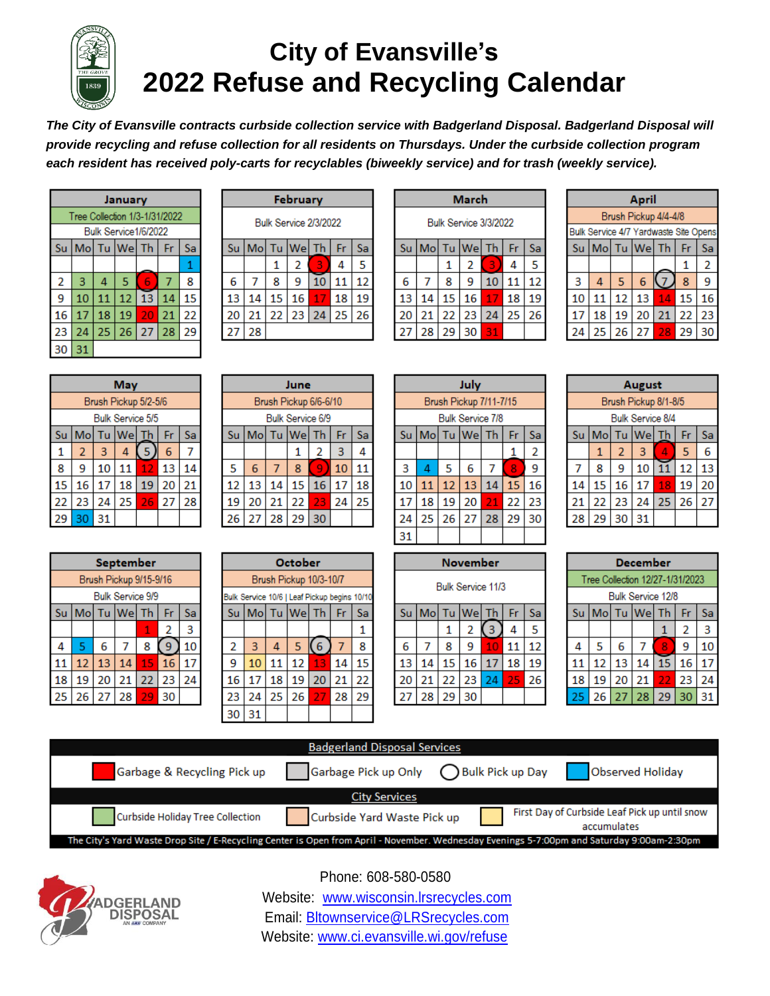

# **City of Evansville's 2022 Refuse and Recycling Calendar**

*The City of Evansville contracts curbside collection service with Badgerland Disposal. Badgerland Disposal will provide recycling and refuse collection for all residents on Thursdays. Under the curbside collection program each resident has received poly-carts for recyclables (biweekly service) and for trash (weekly service).*

|                | January                       |    |                      |    |    |    |  |  |  |
|----------------|-------------------------------|----|----------------------|----|----|----|--|--|--|
|                | Tree Collection 1/3-1/31/2022 |    |                      |    |    |    |  |  |  |
|                |                               |    | Bulk Service1/6/2022 |    |    |    |  |  |  |
| Su             |                               |    | Mo Tu We Th          |    | Fr | Sa |  |  |  |
|                | 1                             |    |                      |    |    |    |  |  |  |
| $\overline{2}$ | 3                             | 4  | 5                    | 6  | 7  | 8  |  |  |  |
| 9              | 10                            | 11 | 12                   | 13 | 14 | 15 |  |  |  |
| 16             | 17                            | 18 | 19                   | 20 | 21 | 22 |  |  |  |
| 23             | 24                            | 25 | 26                   | 27 | 28 | 29 |  |  |  |
| 30             | 31                            |    |                      |    |    |    |  |  |  |

|                       | February |    |          |    |    |    |  |  |  |
|-----------------------|----------|----|----------|----|----|----|--|--|--|
| Bulk Service 2/3/2022 |          |    |          |    |    |    |  |  |  |
| Su                    |          |    | Mo Tu We | Τh | Fr | Sa |  |  |  |
|                       |          | 1  | 2        | 3  | 4  | 5  |  |  |  |
| 6                     |          | 8  | 9        | 10 | 11 | 12 |  |  |  |
| 13                    | 14       | 15 | 16       | 17 | 18 | 19 |  |  |  |
| 20                    | 21       | 22 | 23       | 24 | 25 | 26 |  |  |  |
| 27                    | 28       |    |          |    |    |    |  |  |  |
|                       |          |    |          |    |    |    |  |  |  |

|                       | March |    |          |           |    |    |  |  |
|-----------------------|-------|----|----------|-----------|----|----|--|--|
| Bulk Service 3/3/2022 |       |    |          |           |    |    |  |  |
| Su                    |       |    | Mo Tu We | <b>Th</b> | Fr | Sa |  |  |
|                       |       | 1  | 2        | 3         | 4  | 5  |  |  |
| 6                     |       | 8  | 9        | 10        | 11 | 12 |  |  |
| 13                    | 14    | 15 | 16       | 17        | 18 | 19 |  |  |
| 20                    | 21    | 22 | 23       | 24        | 25 | 26 |  |  |
|                       | 28    | 29 | 30       | 31        |    |    |  |  |
|                       |       |    |          |           |    |    |  |  |

|    | April                |    |                                       |    |    |    |  |  |  |
|----|----------------------|----|---------------------------------------|----|----|----|--|--|--|
|    | Brush Pickup 4/4-4/8 |    |                                       |    |    |    |  |  |  |
|    |                      |    | Bulk Service 4/7 Yardwaste Site Opens |    |    |    |  |  |  |
| Su |                      |    | Mo Tu We Th                           |    | Fr | Sa |  |  |  |
|    |                      |    |                                       |    | 1  | 2  |  |  |  |
| 3  | 4                    | 5  | 6                                     |    | 8  | 9  |  |  |  |
| 10 | 11                   | 12 | 13                                    | 14 | 15 | 16 |  |  |  |
| 17 | 18                   | 19 | 20                                    | 21 | 22 | 23 |  |  |  |
| 24 | 25                   | 26 | 27                                    | 28 |    |    |  |  |  |

|    | May                  |    |                         |    |    |    |  |  |  |
|----|----------------------|----|-------------------------|----|----|----|--|--|--|
|    | Brush Pickup 5/2-5/6 |    |                         |    |    |    |  |  |  |
|    |                      |    | <b>Bulk Service 5/5</b> |    |    |    |  |  |  |
| Su | Mo                   | Tu | Wel                     | Th | Fr | Sa |  |  |  |
| 1  | $\overline{2}$       | 3  | 4                       | 5. | 6  |    |  |  |  |
| 8  | ٩                    | 10 | 11                      | 12 | 13 | 14 |  |  |  |
| 15 | 16                   | 17 | 18                      | 19 | 20 | 21 |  |  |  |
| 22 | 23                   | 24 | 25                      | 26 | 27 | 28 |  |  |  |
|    | 30                   | 31 |                         |    |    |    |  |  |  |

|                       |                                |    | June             |    |    |    |  |  |  |
|-----------------------|--------------------------------|----|------------------|----|----|----|--|--|--|
| Brush Pickup 6/6-6/10 |                                |    |                  |    |    |    |  |  |  |
|                       |                                |    | Bulk Service 6/9 |    |    |    |  |  |  |
| Su                    | Tu   We   Th<br>Mo<br>Fr<br>Sa |    |                  |    |    |    |  |  |  |
|                       | 3<br>2<br>4<br>1               |    |                  |    |    |    |  |  |  |
| 5                     | 6                              | 7  | 8                | 9  | 10 | 11 |  |  |  |
| 12                    | 13                             | 14 | 15               | 16 | 17 | 18 |  |  |  |
| 19                    | 20                             | 21 | 22               | 23 | 24 | 25 |  |  |  |
| 26                    | 27                             | 28 | 29               | 30 |    |    |  |  |  |

|    | July                          |    |                         |    |    |    |  |  |  |
|----|-------------------------------|----|-------------------------|----|----|----|--|--|--|
|    | <b>Brush Pickup 7/11-7/15</b> |    |                         |    |    |    |  |  |  |
|    |                               |    | <b>Bulk Service 7/8</b> |    |    |    |  |  |  |
| Su | Mol                           | Tu | We Th                   |    | Fr | Sa |  |  |  |
|    |                               |    |                         |    | 1  | 2  |  |  |  |
| 3  | 4                             | 5  | 6                       | 7  | 8  | 9  |  |  |  |
| 10 | 11                            | 12 | 13                      | 14 | 15 | 16 |  |  |  |
| 17 | 18                            | 19 | 20                      | 21 | 22 | 23 |  |  |  |
| 24 | 25                            | 26 | 27                      | 28 | 29 | 30 |  |  |  |
| 31 |                               |    |                         |    |    |    |  |  |  |

|    | August                           |    |                         |           |    |    |  |  |  |  |
|----|----------------------------------|----|-------------------------|-----------|----|----|--|--|--|--|
|    | Brush Pickup 8/1-8/5             |    |                         |           |    |    |  |  |  |  |
|    |                                  |    | <b>Bulk Service 8/4</b> |           |    |    |  |  |  |  |
| Su | Mo                               | Tu | Wel                     | <b>Th</b> | Fr | Sa |  |  |  |  |
|    | 5<br>6<br>2<br>3<br>4<br>1       |    |                         |           |    |    |  |  |  |  |
| 7  | 8                                | ٩  | 10                      |           | 12 | 13 |  |  |  |  |
| 14 | 15                               | 16 | 17                      | 18        | 19 | 20 |  |  |  |  |
| 21 | 25<br>26<br>23<br>24<br>22<br>27 |    |                         |           |    |    |  |  |  |  |
| 28 |                                  | 30 | 31                      |           |    |    |  |  |  |  |

|    | September              |    |                         |    |    |    |  |  |  |  |
|----|------------------------|----|-------------------------|----|----|----|--|--|--|--|
|    | Brush Pickup 9/15-9/16 |    |                         |    |    |    |  |  |  |  |
|    |                        |    | <b>Bulk Service 9/9</b> |    |    |    |  |  |  |  |
| Su |                        |    | Mo Tu We Th             |    | Fr | Sa |  |  |  |  |
|    |                        |    |                         | 1  | 2  | 3  |  |  |  |  |
| 4  | 5                      | 6  |                         | 8  | ٩  | 10 |  |  |  |  |
| 11 | 12                     | 13 | 14                      | 15 | 16 | 17 |  |  |  |  |
| 18 | 19                     | 20 | 21                      | 22 | 23 | 24 |  |  |  |  |
| 25 | 26                     | 27 | 28                      |    |    |    |  |  |  |  |

|                | October                |    |                                              |    |    |    |  |  |  |  |  |
|----------------|------------------------|----|----------------------------------------------|----|----|----|--|--|--|--|--|
|                | Brush Pickup 10/3-10/7 |    |                                              |    |    |    |  |  |  |  |  |
|                |                        |    | Bulk Service 10/6   Leaf Pickup begins 10/10 |    |    |    |  |  |  |  |  |
| Su             |                        |    | Mo Tu We Th                                  |    | Fr | Sa |  |  |  |  |  |
|                |                        |    |                                              |    |    | 1  |  |  |  |  |  |
| $\overline{2}$ | 3                      | 4  | 5                                            | 6) | 7  | 8  |  |  |  |  |  |
| 9              | 10                     | 11 | 12                                           | 13 | 14 | 15 |  |  |  |  |  |
| 16             | 17                     | 18 | 19                                           | 20 | 21 | 22 |  |  |  |  |  |
| 23             | 24                     | 25 | 26                                           | 27 | 28 | 29 |  |  |  |  |  |
| 30             | 31                     |    |                                              |    |    |    |  |  |  |  |  |

|  | November          |     |    |              |    |    |  |  |
|--|-------------------|-----|----|--------------|----|----|--|--|
|  | Bulk Service 11/3 |     |    |              |    |    |  |  |
|  | Su                | Mol |    | Tu   We   Th |    | Fr |  |  |
|  |                   |     | 1  | 2            | 3  | 4  |  |  |
|  | 6                 |     | 8  | 9            | 10 | 11 |  |  |
|  | 13                | 14  | 15 | 16           | 17 | 18 |  |  |
|  | 20                | 21  | 22 | 23           | 24 | 25 |  |  |
|  | 27                | 28  | 29 | 30           |    |    |  |  |

|                                 | December |    |                          |    |    |    |  |  |  |  |
|---------------------------------|----------|----|--------------------------|----|----|----|--|--|--|--|
| Tree Collection 12/27-1/31/2023 |          |    |                          |    |    |    |  |  |  |  |
|                                 |          |    | <b>Bulk Service 12/8</b> |    |    |    |  |  |  |  |
| Su                              |          |    | Mo Tu We Th              |    | Fr | Sa |  |  |  |  |
|                                 |          |    |                          |    | 2  | 3  |  |  |  |  |
| 4                               | 5        | 6  | 7                        | 8  | 9  | 10 |  |  |  |  |
| 11                              | 12       | 13 | 14                       | 15 | 16 | 17 |  |  |  |  |
| 18                              | 19       | 20 | 21                       | 22 | 23 | 24 |  |  |  |  |
| 25                              | 26       | 27 | 28                       | 29 |    |    |  |  |  |  |





Phone: 608-580-0580

Website: [www.wisconsin.lrsrecycles.com](http://www.wisconsin.lrsrecycles.com/) Email: [Bltownservice@LRSrecycles.com](mailto:Bltownservice@LRSrecycles.com) Website: [www.ci.evansville.wi.gov/refuse](http://www.ci.evansville.wi.gov/refuse)